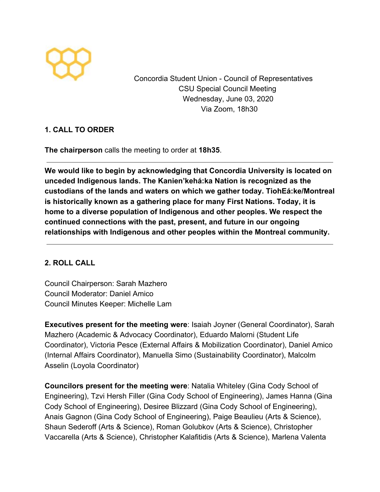

Concordia Student Union - Council of Representatives CSU Special Council Meeting Wednesday, June 03, 2020 Via Zoom, 18h30

## **1. CALL TO ORDER**

**The chairperson** calls the meeting to order at **18h35**.

**We would like to begin by acknowledging that Concordia University is located on unceded Indigenous lands. The Kanien'kehá:ka Nation is recognized as the custodians of the lands and waters on which we gather today. TiohEá:ke/Montreal is historically known as a gathering place for many First Nations. Today, it is home to a diverse population of Indigenous and other peoples. We respect the continued connections with the past, present, and future in our ongoing relationships with Indigenous and other peoples within the Montreal community.**

## **2. ROLL CALL**

Council Chairperson: Sarah Mazhero Council Moderator: Daniel Amico Council Minutes Keeper: Michelle Lam

**Executives present for the meeting were**: Isaiah Joyner (General Coordinator), Sarah Mazhero (Academic & Advocacy Coordinator), Eduardo Malorni (Student Life Coordinator), Victoria Pesce (External Affairs & Mobilization Coordinator), Daniel Amico (Internal Affairs Coordinator), Manuella Simo (Sustainability Coordinator), Malcolm Asselin (Loyola Coordinator)

**Councilors present for the meeting were**: Natalia Whiteley (Gina Cody School of Engineering), Tzvi Hersh Filler (Gina Cody School of Engineering), James Hanna (Gina Cody School of Engineering), Desiree Blizzard (Gina Cody School of Engineering), Anais Gagnon (Gina Cody School of Engineering), Paige Beaulieu (Arts & Science), Shaun Sederoff (Arts & Science), Roman Golubkov (Arts & Science), Christopher Vaccarella (Arts & Science), Christopher Kalafitidis (Arts & Science), Marlena Valenta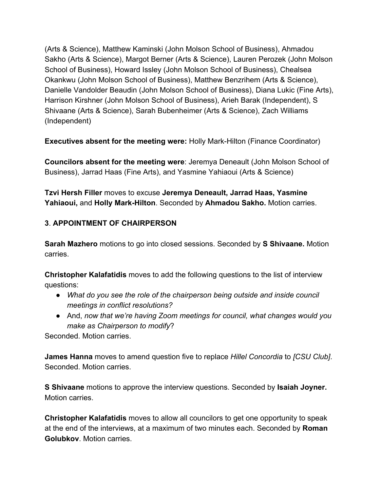(Arts & Science), Matthew Kaminski (John Molson School of Business), Ahmadou Sakho (Arts & Science), Margot Berner (Arts & Science), Lauren Perozek (John Molson School of Business), Howard Issley (John Molson School of Business), Chealsea Okankwu (John Molson School of Business), Matthew Benzrihem (Arts & Science), Danielle Vandolder Beaudin (John Molson School of Business), Diana Lukic (Fine Arts), Harrison Kirshner (John Molson School of Business), Arieh Barak (Independent), S Shivaane (Arts & Science), Sarah Bubenheimer (Arts & Science), Zach Williams (Independent)

**Executives absent for the meeting were:** Holly Mark-Hilton (Finance Coordinator)

**Councilors absent for the meeting were**: Jeremya Deneault (John Molson School of Business), Jarrad Haas (Fine Arts), and Yasmine Yahiaoui (Arts & Science)

**Tzvi Hersh Filler** moves to excuse **Jeremya Deneault, Jarrad Haas, Yasmine Yahiaoui,** and **Holly Mark-Hilton**. Seconded by **Ahmadou Sakho.** Motion carries.

## **3**. **APPOINTMENT OF CHAIRPERSON**

**Sarah Mazhero** motions to go into closed sessions. Seconded by **S Shivaane.** Motion carries.

**Christopher Kalafatidis** moves to add the following questions to the list of interview questions:

- *What do you see the role of the chairperson being outside and inside council meetings in conflict resolutions?*
- And, *now that we're having Zoom meetings for council, what changes would you make as Chairperson to modify*?

Seconded. Motion carries.

**James Hanna** moves to amend question five to replace *Hillel Concordia* to *[CSU Club]*. Seconded. Motion carries.

**S Shivaane** motions to approve the interview questions. Seconded by **Isaiah Joyner.** Motion carries.

**Christopher Kalafatidis** moves to allow all councilors to get one opportunity to speak at the end of the interviews, at a maximum of two minutes each. Seconded by **Roman Golubkov**. Motion carries.